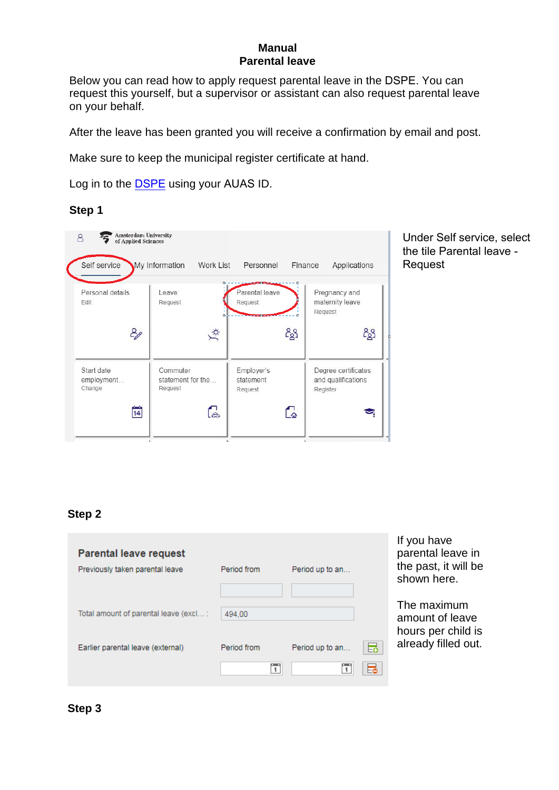### **Manual Parental leave**

Below you can read how to apply request parental leave in the DSPE. You can request this yourself, but a supervisor or assistant can also request parental leave on your behalf.

After the leave has been granted you will receive a confirmation by email and post.

Make sure to keep the municipal register certificate at hand.

Log in to the DSPE using your AUAS ID.

#### **Step 1**



Under Self service, select the tile Parental leave - Request

### **Step 2**

| <b>Parental leave request</b><br>Previously taken parental leave | Period from | Period up to an      | If you have<br>parental leave in<br>the past, it will be<br>shown here. |
|------------------------------------------------------------------|-------------|----------------------|-------------------------------------------------------------------------|
| Total amount of parental leave (excl:                            | 494.00      |                      | The maximum<br>amount of leave                                          |
| Earlier parental leave (external)                                | Period from | 昂<br>Period up to an | hours per child is<br>already filled out.                               |
|                                                                  | 1           | ᇙ                    |                                                                         |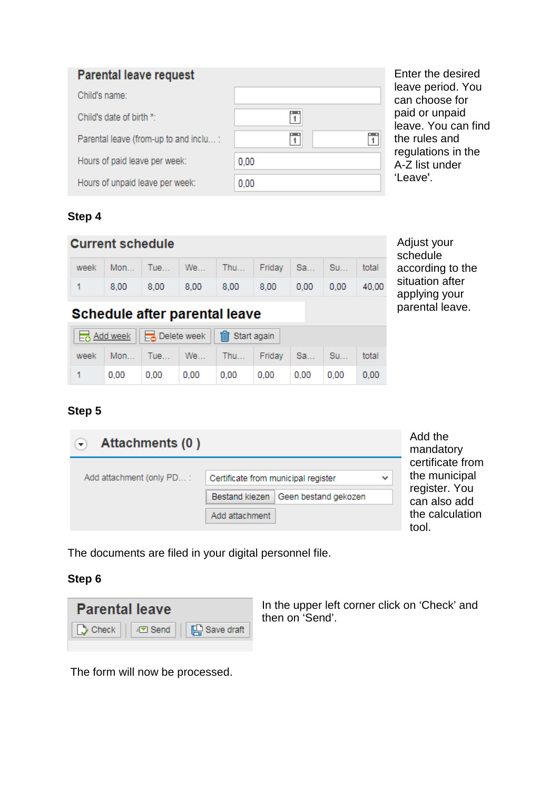| <b>Parental leave request</b>          |      |
|----------------------------------------|------|
| Child's name:                          |      |
| Child's date of birth *:               | Ŧ    |
| Parental leave (from-up to and inclu : | Ŧ    |
| Hours of paid leave per week:          | 0.00 |
| Hours of unpaid leave per week:        | 0.00 |

**Step 4**

| Step 4                  |      |      |                      |      |           |      |           |       |
|-------------------------|------|------|----------------------|------|-----------|------|-----------|-------|
| <b>Current schedule</b> |      |      |                      |      |           |      |           |       |
| week                    |      |      | Mon   Tue   We   Thu |      | Friday Sa |      | <b>Su</b> | total |
|                         | 8.00 | 8.00 | 8.00                 | 8,00 | 8.00      | 0.00 | 0.00      | 40.00 |

Adjust your schedule according to the situation after applying your parental leave.

Enter the desired leave period. You can choose for paid or unpaid leave. You can find

the rules and regulations in the A-Z list under

'Leave'.

# Schedule after parental leave

|      |      |      | ■ Add week   ■ Delete week   m Start again |                                         |      |             |  |       |  |
|------|------|------|--------------------------------------------|-----------------------------------------|------|-------------|--|-------|--|
| week |      |      |                                            | Mon   Tue   We   Thu   Friday   Sa   Su |      |             |  | total |  |
|      | 0.00 | 0.00 | $0,00$ 0,00                                |                                         | 0,00 | $0,00$ 0.00 |  | 0.00  |  |

**Step 5**

| Attachments (0)          |                                       |              | Add the<br>mandatory           |
|--------------------------|---------------------------------------|--------------|--------------------------------|
|                          |                                       |              | certificate from               |
| Add attachment (only PD: | Certificate from municipal register   | $\checkmark$ | the municipal<br>register. You |
|                          | Bestand kiezen   Geen bestand gekozen |              | can also add                   |
|                          | Add attachment                        |              | the calculation<br>tool.       |

The documents are filed in your digital personnel file.

## **Step 6**



In the upper left corner click on 'Check' and then on 'Send'.

The form will now be processed.